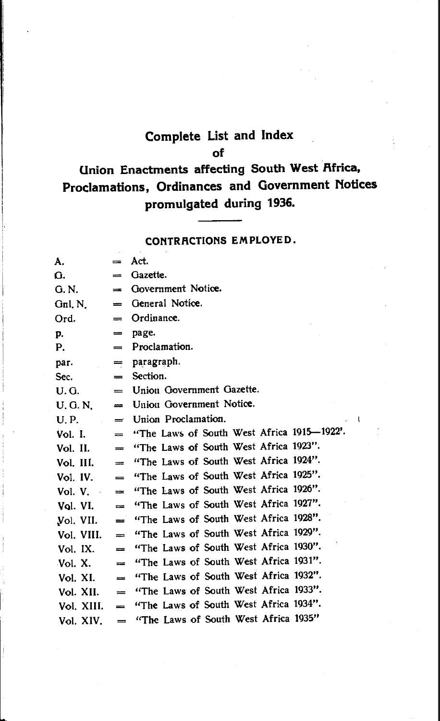# **Complete List and Index of**

# **Union Enactments affecting South West Africa, Proclamations, Ordinances and Government Notices promulgated during 1936.**

### **CONTR.RCTIONS EMPLOYED.**

| А.         | $=$           | Act.                                       |
|------------|---------------|--------------------------------------------|
| G.         | $=$           | Gazette.                                   |
| G. N.      | $=$           | Government Notice.                         |
| Gnl, N     | $=$           | General Notice.                            |
| Ord.       | $=$           | Ordinance.                                 |
| p.         | $=$           | page.                                      |
| Р.         | $=$           | Proclamation.                              |
| par.       | $=$           | paragraph.                                 |
| Sec.       | $=$           | Section.                                   |
| U.G.       | $=$           | Union Government Gazette.                  |
| U. G. N.   | $=$           | Union Government Notice.                   |
| U.P.       | $=$           | Union Proclamation.                        |
| Vol. I.    | $=$           | "The Laws of South West Africa 1915-1922'. |
| Vol. II.   | $\frac{1}{2}$ | "The Laws of South West Africa 1923".      |
| Vol. III.  | $=$           | "The Laws of South West Africa 1924".      |
| Vol. IV. I | $\equiv$      | "The Laws of South West Africa 1925".      |
| Vol. V.    | $\equiv$      | "The Laws of South West Africa 1926".      |
| Vol. VI.   | $=$           | "The Laws of South West Africa 1927".      |
| Vol. VII.  | $=$           | "The Laws of South West Africa 1928".      |
| Vol. VIII. | $=$           | "The Laws of South West Africa 1929".      |
| Vol. IX.   | $=$           | "The Laws of South West Africa 1930".      |
| Vol. X.    | $=$           | "The Laws of South West Africa 1931".      |
| Vol. XI.   | $=$           | "The Laws of South West Africa 1932".      |
| Vol. XII.  | $=$           | "The Laws of South West Africa 1933".      |
| Vol. XIII. | $=$           | "The Laws of South West Africa 1934".      |
| Vol. XIV.  | $=$           | "The Laws of South West Africa 1935"       |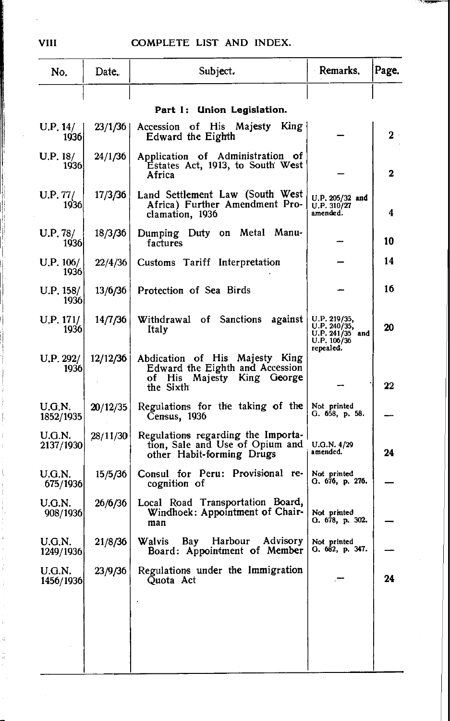,,<del>,,,</del>,

| No.                 | Date.    | Subject.                                                                                                     | Remarks.                                                                    | Page.          |
|---------------------|----------|--------------------------------------------------------------------------------------------------------------|-----------------------------------------------------------------------------|----------------|
|                     |          |                                                                                                              |                                                                             |                |
|                     |          | Part I: Union Legislation.                                                                                   |                                                                             |                |
| U.P. 14/<br>1936    | 23/1/36  | Accession of His Majesty King<br>Edward the Eighth                                                           |                                                                             | $\mathbf{2}^-$ |
| U.P. 18/<br>1936    | 24/1/36  | Application of Administration of<br>Estates Act, 1913, to South West<br>Africa                               |                                                                             | 2              |
| U.P. 77/<br>1936    | 17/3/36  | Land Settlement Law (South West<br>Africa) Further Amendment Pro-<br>clamation, 1936                         | U.P. 205/32 and<br>U.P. 310/27<br>amended.                                  | 4              |
| U.P. 78/<br>1936    | 18/3/36  | Dumping Duty on Metal Manu-<br>factures                                                                      |                                                                             | 10             |
| U.P. 106/<br>1936   | 22/4/36  | Customs Tariff Interpretation                                                                                |                                                                             | 14             |
| U.P. 158/<br>1936   | 13/6/36  | Protection of Sea Birds                                                                                      |                                                                             | 16             |
| U.P. 171/<br>1936   | 14/7/36  | Withdrawal of Sanctions<br>against<br>Italy                                                                  | U.P. 219/35,<br>U.P. 240/35,<br>U.P. 241/35 and<br>U.P. 106/36<br>repealed. | 20             |
| U.P. 292/<br>1936   | 12/12/36 | Abdication of His Majesty King<br>Edward the Eighth and Accession<br>of His Majesty King George<br>the Sixth |                                                                             | 22             |
| U.G.N.<br>1852/1935 | 20/12/35 | Regulations for the taking of the<br>Census, 1936                                                            | Not printed<br>G. 658, p. 58.                                               |                |
| U.G.N.<br>2137/1930 | 28/11/30 | Regulations regarding the Importa-<br>tion, Sale and Use of Opium and<br>other Habit-forming Drugs           | U.G.N. 4/29<br>amended.                                                     | 24             |
| U.G.N.<br>675/1936  | 15/5/36  | Consul for Peru: Provisional re-<br>cognition of                                                             | Not printed<br>G. 676, p. 276.                                              |                |
| U.G.N.<br>908/1936  | 26/6/36  | Local Road Transportation Board,<br>Windhoek: Appointment of Chair-<br>man                                   | Not printed<br>О. 678, р. 302.                                              |                |
| U.G.N.<br>1249/1936 | 21/8/36  | Walvis<br>Bay Harbour Advisory<br>Board: Appointment of Member                                               | Not printed<br>G. 682, p. 347.                                              |                |
| U.G.N.<br>1456/1936 | 23/9/36  | Regulations under the Immigration<br>Quota Act                                                               |                                                                             | 24             |
|                     |          |                                                                                                              |                                                                             |                |
|                     |          |                                                                                                              |                                                                             |                |
|                     |          |                                                                                                              |                                                                             |                |
|                     |          |                                                                                                              |                                                                             |                |
|                     |          |                                                                                                              |                                                                             |                |

**VIII**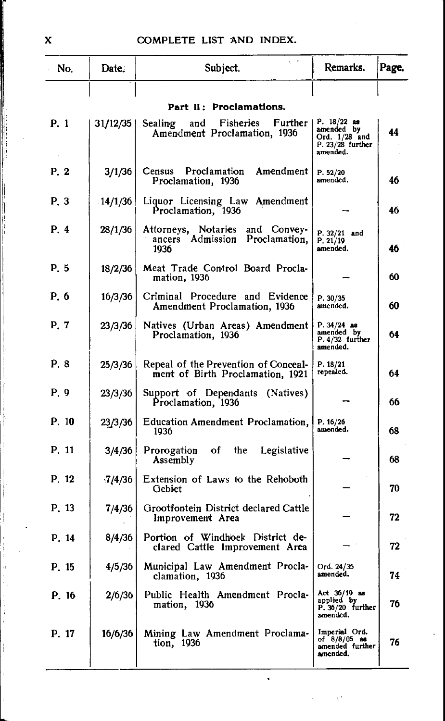| No.   | Date:     | Subject.                                                                  | Remarks.                                                                         | Page. |
|-------|-----------|---------------------------------------------------------------------------|----------------------------------------------------------------------------------|-------|
|       |           |                                                                           |                                                                                  |       |
|       |           | Part II: Proclamations.                                                   |                                                                                  |       |
| P. 1  | 31/12/35  | Fisheries<br>Further<br>Sealing<br>and<br>Amendment Proclamation, 1936    | P. $18/22$ as<br>amended by<br>Ord. $1/28$ and<br>$P. 23/28$ further<br>amended. | 44    |
| P. 2  | 3/1/36    | Census Proclamation Amendment<br>Proclamation, 1936                       | P. 52/20<br>amended.                                                             | 46    |
| P. 3  | 14/1/36   | Liquor Licensing Law Amendment<br>Proclamation, 1936                      |                                                                                  | 46    |
| P. 4  | 28/1/36   | Attorneys, Notaries and Convey-<br>ancers Admission Proclamation,<br>1936 | $P. 32/21$ and<br>P. 21/19<br>amended.                                           | 46    |
| P. 5  | 18/2/36   | Meat Trade Control Board Procla-<br>mation, 1936                          |                                                                                  | 60    |
| P. 6  | 16/3/36   | Criminal Procedure and Evidence<br>Amendment Proclamation, 1936           | P. 30/35<br>amended.                                                             | 60    |
| P. 7  | 23/3/36   | Natives (Urban Areas) Amendment<br>Proclamation, 1936                     | $P. 34/24$ as<br>amended by<br>P. 4/32 further<br>amended.                       | 64    |
| P. 8  | 25/3/36   | Repeal of the Prevention of Conceal-<br>ment of Birth Proclamation, 1921  | P. 18/21<br>repealed.                                                            | 64    |
| P. 9  | 23/3/36   | Support of Dependants (Natives)<br>Proclamation, 1936                     |                                                                                  | 66    |
| P. 10 | 23/3/36   | Education Amendment Proclamation,<br>1936                                 | P. 16/26<br>amended.                                                             | 68    |
| P. 11 | 3/4/36    | of<br>Prorogation<br>the<br>Legislative<br>Assembly                       |                                                                                  | 68    |
| P. 12 | $-7/4/36$ | Extension of Laws to the Rehoboth<br>Gebiet                               |                                                                                  | 70    |
| P. 13 | 7/4/36    | Grootfontein District declared Cattle<br>Improvement Area                 |                                                                                  | 72    |
| P. 14 | 8/4/36    | Portion of Windhoek District de-<br>clared Cattle Improvement Area        |                                                                                  | 72    |
| P. 15 | 4/5/36    | Municipal Law Amendment Procla-<br>clamation, 1936                        | Ord. 24/35<br>amended.                                                           | 74    |
| P. 16 | 2/6/36    | Public Health Amendment Procla-<br>mation, 1936                           | Act 36/19 as<br>applied by<br>P. 36/20 further<br>amended.                       | 76    |
| P. 17 | 16/6/36   | Mining Law Amendment Proclama-<br>tion, 1936                              | Imperial Ord.<br>of 8/8/05 ass<br>amended further<br>amended.                    | 76    |

 $\ddot{\phantom{0}}$ 

Ç.

X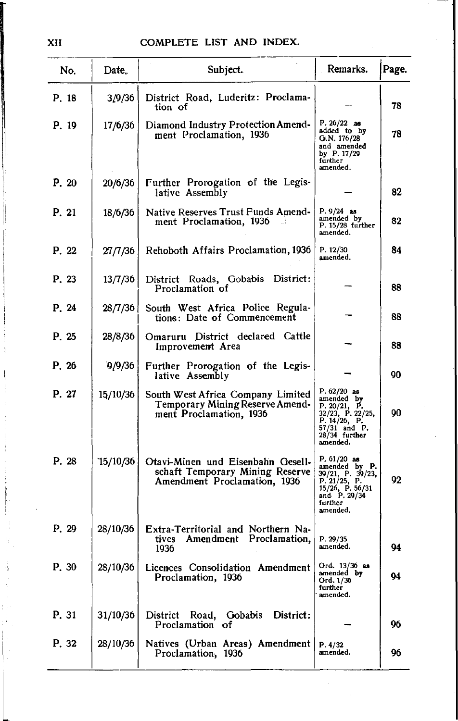| No.   | Date.    | Subject.                                                                                             | Remarks.                                                                                                                     | Page. |
|-------|----------|------------------------------------------------------------------------------------------------------|------------------------------------------------------------------------------------------------------------------------------|-------|
| P. 18 | 3/9/36   | District Road, Luderitz: Proclama-<br>tion of                                                        |                                                                                                                              | 78    |
| P. 19 | 17/6/36  | Diamond Industry Protection Amend-<br>ment Proclamation, 1936                                        | $P. 26/22$ as<br>added to by<br>G.N. 176/28<br>and amended<br>by P. 17/29<br>funther<br>amended.                             | 78    |
| P. 20 | 20/6/36  | Further Prorogation of the Legis-<br>lative Assembly                                                 |                                                                                                                              | 82    |
| P. 21 | 18/6/36  | <b>Native Reserves Trust Funds Amend-</b><br>ment Proclamation, 1936                                 | $P.9/24$ as<br>amended by<br>P. 15/28 further<br>amended.                                                                    | 82    |
| P. 22 | 27/7/36  | Rehoboth Affairs Proclamation, 1936                                                                  | P. 12/30<br>amended.                                                                                                         | 84    |
| P. 23 | 13/7/36  | District:<br>District Roads, Gobabis<br>Proclamation of                                              |                                                                                                                              | 88    |
| P. 24 | 28/7/36  | South West Africa Police Regula-<br>tions: Date of Commencement                                      |                                                                                                                              | 88    |
| P. 25 | 28/8/36  | Omaruru District declared Cattle<br>Improvement Area                                                 |                                                                                                                              | 88    |
| P. 26 | 9/9/36   | Further Prorogation of the Legis-<br>lative Assembly                                                 |                                                                                                                              | 90    |
| P. 27 | 15/10/36 | South West Africa Company Limited<br>Temporary Mining Reserve Amend-<br>ment Proclamation, 1936      | $P. 62/20$ as<br>amended by<br>P. 20/21, P.<br>32/23, P. 22/25,<br>P. 14/26, P.<br>57/31 and P.<br>28/34 further<br>amended. | 90    |
| P. 28 | 15/10/36 | Otavi-Minen und Eisenbahn Gesell-<br>schaft Temporary Mining Reserve<br>Amendment Proclamation, 1936 | $P. 61/20$ as<br>amended by P.<br>39/21, P. 39/23,<br>P. 21/25, P.<br>15/26, P. 56/31<br>and P. 29/34<br>further<br>amended. | 92    |
| P. 29 | 28/10/36 | Extra-Territorial and Northern Na-<br>tives Amendment Proclamation,<br>1936                          | P. 29/35<br>amended.                                                                                                         | 94    |
| P. 30 | 28/10/36 | Licences Consolidation Amendment<br>Proclamation, 1936                                               | Ord. 13/36 as<br>amended by<br>Ord. 1/36<br>further<br>amended.                                                              | 94    |
| P. 31 | 31/10/36 | District:<br>District Road, Gobabis<br>Proclamation of                                               |                                                                                                                              | 96    |
| P. 32 | 28/10/36 | Natives (Urban Areas) Amendment<br>Proclamation, 1936                                                | P.4/32<br>amended.                                                                                                           | 96    |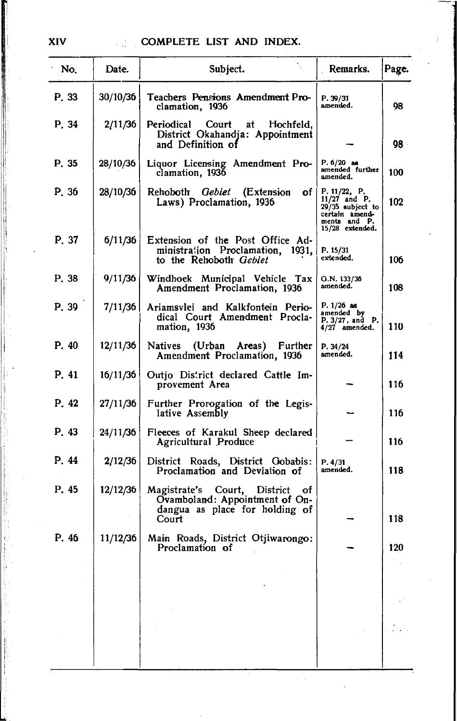| No.   | Date.    | Subject.                                                                                                     | Remarks.                                                                                                   | Page. |
|-------|----------|--------------------------------------------------------------------------------------------------------------|------------------------------------------------------------------------------------------------------------|-------|
| P. 33 | 30/10/36 | Teachers Pensions Amendment Pro-<br>clamation, 1936                                                          | P. 39/31<br>amended.                                                                                       | 98    |
| P. 34 | 2/11/36  | Periodical<br>Court<br>at<br>Hochfeld.<br>District Okahandja: Appointment<br>and Definition of               |                                                                                                            | 98.   |
| P. 35 | 28/10/36 | Liquor Licensing Amendment Pro-<br>clamation, 1936                                                           | $P. 6/20$ as<br>amended further<br>amended.                                                                | 100   |
| P. 36 | 28/10/36 | Rehoboth <i>Gebiet</i><br>(Extension<br>of l<br>Laws) Proclamation, 1936                                     | P. $11/22$ , P.<br>$11/27$ and P.<br>29/35 subject to<br>certain amend-<br>ments and P.<br>15/28 extended. | 102   |
| P. 37 | 6/11/36  | Extension of the Post Office Ad-<br>ministration Proclamation, 1931,<br>to the Rehoboth Gebiet               | P. 15/31<br>extended.                                                                                      | 106   |
| P. 38 | 9/11/36  | Windhoek Municipal Vehicle Tax<br>Amendment Proclamation, 1936                                               | Q.N. 133/36<br>amended.                                                                                    | 108   |
| P. 39 | 7/11/36  | Ariamsvlei and Kalkfontein Perio-<br>dical Court Amendment Procla-<br>mation, 1936                           | $P. 1/26$ as<br>amended by<br>$P. 3/27$ , and $P.$<br>$4/27$ amended.                                      | 110   |
| P.40  | 12/11/36 | Natives<br>(Urban<br>Areas)<br>Further<br>Amendment Proclamation, 1936                                       | P. 34/24<br>amended.                                                                                       | 114   |
| P. 41 | 16/11/36 | Outjo District declared Cattle Im-<br>provement Area                                                         |                                                                                                            | 116   |
| P. 42 | 27/11/36 | Further Prorogation of the Legis-<br>lative Assembly                                                         |                                                                                                            | 116   |
| P. 43 | 24/11/36 | Fleeces of Karakul Sheep declared<br>Agricultural Produce                                                    |                                                                                                            | 116   |
| P. 44 | 2/12/36  | District Roads, District Gobabis:<br>Proclamation and Deviation of                                           | P. 4/31<br>amended.                                                                                        | 118   |
| P. 45 | 12/12/36 | Magistrate's Court, District of<br>Ovamboland: Appointment of On-<br>dangua as place for holding of<br>Court |                                                                                                            | 118   |
| P. 46 | 11/12/36 | Main Roads, District Otjiwarongo:<br>Proclamation of                                                         |                                                                                                            | 120   |
|       |          |                                                                                                              |                                                                                                            |       |
|       |          |                                                                                                              |                                                                                                            |       |
|       |          |                                                                                                              |                                                                                                            |       |
|       |          |                                                                                                              |                                                                                                            |       |

XIV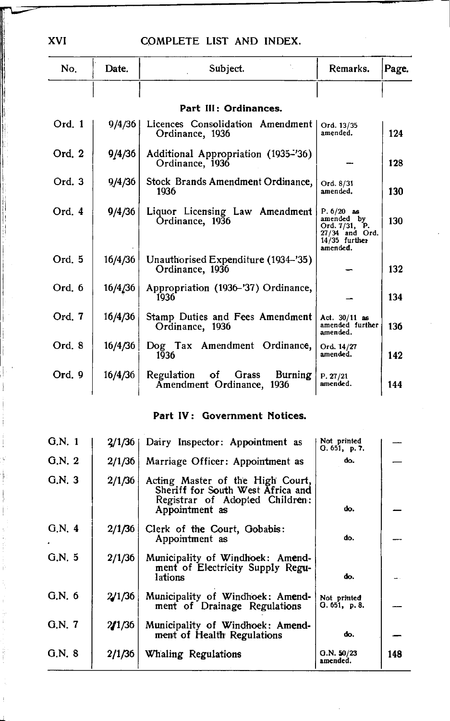| No.      | Date.   | Subject.                                                    | Remarks.                                                                                     | Page. |
|----------|---------|-------------------------------------------------------------|----------------------------------------------------------------------------------------------|-------|
|          |         |                                                             |                                                                                              |       |
|          |         | Part III: Ordinances.                                       |                                                                                              |       |
| Ord. 1   | 9/4/36  | Licences Consolidation Amendment<br>Ordinance, 1936         | Ord. 13/35<br>amended.                                                                       | 124   |
| Ord. 2   | 9/4/36  | Additional Appropriation (1935-'36)<br>Ordinance, 1936      |                                                                                              | 128   |
| Ord.3    | 9/4/36  | Stock Brands Amendment Ordinance,<br>1936                   | Ord. 8/31<br>amended.                                                                        | 130   |
| Ord. $4$ | 9/4/36  | Liquor Licensing Law Amendment<br>Ordinance, 1936           | $P. 6/20$ as<br>amended by<br>Ord. 7/31, P.<br>27/34 and Ord.<br>$14/35$ further<br>amended. | 130   |
| Ord. 5   | 16/4/36 | Unauthorised Expenditure (1934–'35)<br>Ordinance, 1936      |                                                                                              | 132   |
| Ord. 6   | 16/4/36 | Appropriation (1936-'37) Ordinance,<br>1936                 |                                                                                              | 134   |
| Ord. 7   | 16/4/36 | Stamp Duties and Fees Amendment<br>Ordinance, 1936          | Act. 30/11 as<br>amended further<br>amended.                                                 | 136   |
| Ord. 8   | 16/4/36 | Dog Tax Amendment Ordinance,<br>1936                        | Ord. 14/27<br>amended.                                                                       | 142   |
| Ord. 9   | 16/4/36 | Regulation of Grass<br>Burning<br>Amendment Ordinance, 1936 | P. 27/21<br>amended.                                                                         | 144   |

# Part IV: Government Notices.

| G.N.1 | 2/1/36 | Dairy Inspector: Appointment as                                                                                           | Not printed<br>Q.651, p.7. |     |
|-------|--------|---------------------------------------------------------------------------------------------------------------------------|----------------------------|-----|
| G.N.2 | 2/1/36 | Marriage Officer: Appointment as                                                                                          | do.                        |     |
| G.N.3 | 2/1/36 | Acting Master of the High Court,<br>Sheriff for South West Africa and<br>Registrar of Adopted Children:<br>Appointment as | do.                        |     |
| G.N.4 | 2/1/36 | Clerk of the Court, Gobabis:<br>Appointment as                                                                            | do.                        |     |
| G.N.5 | 2/1/36 | Municipality of Windhoek: Amend-<br>ment of Electricity Supply Regu-<br>lations                                           | do.                        |     |
| G.N.6 | 2/1/36 | Municipality of Windhoek: Amend-<br>ment of Drainage Regulations                                                          | Not printed<br>Q.651, p.8. |     |
| G.N.7 | 2/1/36 | Municipality of Windhoek: Amend-<br>ment of Health Regulations                                                            | do.                        |     |
| G.N.8 | 2/1/36 | Whaling Regulations                                                                                                       | Q.N. 50/23<br>amended.     | 148 |
|       |        |                                                                                                                           |                            |     |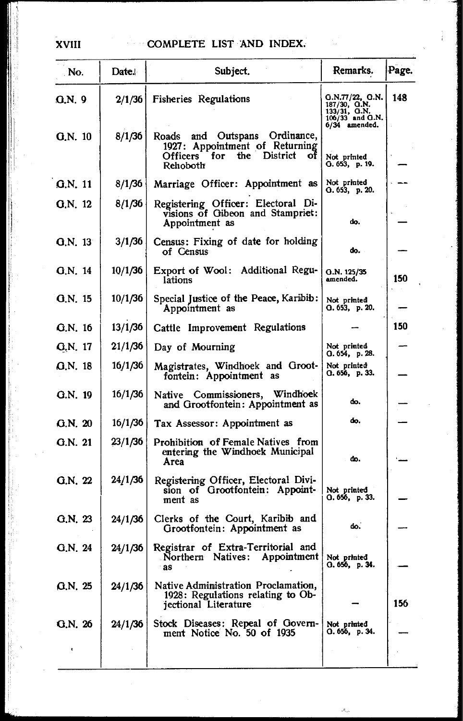# XVIII COMPLETE LIST AND INDEX.

| No.           | Date.   | Subject.                                                                                                            | Remarks.                                                                                  | Page. |
|---------------|---------|---------------------------------------------------------------------------------------------------------------------|-------------------------------------------------------------------------------------------|-------|
| <b>G.N. 9</b> | 2/1/36  | <b>Fisheries Regulations</b>                                                                                        | 0. N. 77/22, 0. N.<br>$187/30$ , G.N.<br>133/31, G.N.<br>106/33 and G.N.<br>6/34 amended. | 148   |
| G.N. 10       | 8/1/36  | Roads and Outspans Ordinance,<br>1927: Appointment of Returning<br>Officers for the<br>District<br>- of<br>Rehoboth | Not printed<br>0.653, p.19.                                                               |       |
| G.N. 11       | 8/1/36  | Marriage Officer: Appointment as                                                                                    | Not printed<br>Q. 653, p. 20.                                                             |       |
| Q.N. 12       | 8/1/36  | Registering Officer: Electoral Di-<br>visions of Gibeon and Stampriet:<br>Appointment as                            | do.                                                                                       |       |
| $Q_N$ , 13    | 3/1/36  | Census: Fixing of date for holding<br>of Census                                                                     | do.                                                                                       |       |
| G.N. 14       | 10/1/36 | Export of Wool: Additional Regu-<br>lations                                                                         | G.N. 125/35<br>amended.                                                                   | 150   |
| $Q_N$ , 15    | 10/1/36 | Special Justice of the Peace, Karibib:<br>Appointment as                                                            | Not printed<br>O.653, p.20.                                                               |       |
| $Q.N.$ 16     | 13/1/36 | Cattle Improvement Regulations                                                                                      |                                                                                           | 150   |
| G.N. 17       | 21/1/36 | Day of Mourning                                                                                                     | Not printed<br>O.654, p.28.                                                               |       |
| Q.N. 18       | 16/1/36 | Magistrates, Windhoek and Groot-<br>fontein: Appointment as                                                         | Not printed<br>Q. 656, p. 33.                                                             |       |
| G.N. 19       | 16/1/36 | Native Commissioners, Windhoek<br>and Grootfontein: Appointment as                                                  | do.                                                                                       |       |
| G.N. 20       | 16/1/36 | Tax Assessor: Appointment as                                                                                        | do.                                                                                       |       |
| G.N. 21       | 23/1/36 | Prohibition of Female Natives from<br>entering the Windhoek Municipal<br>Area                                       | do.                                                                                       |       |
| G.N. 22       | 24/1/36 | Registering Officer, Electoral Divi-<br>sion of Grootfontein: Appoint-<br>ment as                                   | Not printed<br>O. 656, p. 33.                                                             |       |
| G.N. 23       | 24/1/36 | Clerks of the Court, Karibib and<br>Grootfontein: Appointment as                                                    | do.                                                                                       |       |
| G.N. 24       | 24/1/36 | Registrar of Extra-Territorial and<br>Northern Natives: Appointment   Not printed<br>∍as                            | O.656, p.34.                                                                              |       |
| G.N. 25       | 24/1/36 | Native Administration Proclamation,<br>1928: Regulations relating to Ob-<br>jectional Literature                    |                                                                                           | 156   |
| G.N. 26       | 24/1/36 | Stock Diseases: Repeal of Govern-<br>ment Notice No. 50 of 1935                                                     | Not printed<br>G. 656, p. 34.                                                             |       |
| $\mathbf{r}$  |         |                                                                                                                     |                                                                                           |       |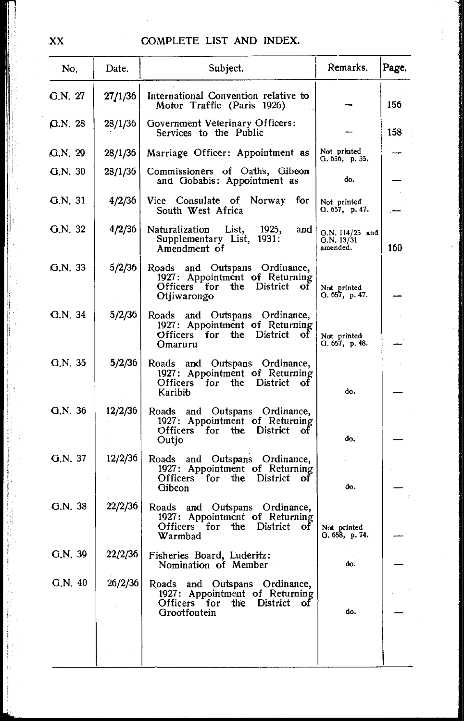| No.     | Date.   | Subject.                                                                                                                     | Remarks.                                    | Page. |
|---------|---------|------------------------------------------------------------------------------------------------------------------------------|---------------------------------------------|-------|
| G.N. 27 | 27/1/36 | International Convention relative to<br>Motor Traffic (Paris 1926)                                                           |                                             | 156   |
| G.N. 28 | 28/1/36 | Government Veterinary Officers:<br>Services to the Public                                                                    |                                             | 158   |
| G.N. 29 | 28/1/36 | Marriage Officer: Appointment as                                                                                             | Not printed<br>G. 656, p. 35.               |       |
| G.N. 30 | 28/1/36 | Commissioners of Oath's, Gibeon<br>and Gobabis: Appointment as                                                               | do.                                         |       |
| G.N. 31 | 4/2/36  | Vice Consulate of Norway<br>for<br>South West Africa                                                                         | Not printed<br>Q.657, p.47.                 |       |
| G.N. 32 | 4/2/36  | Naturalization List,<br>1925,<br>and<br>Supplementary List, 1931:<br>Amendment of                                            | $G.N. 114/25$ and<br>G.N. 13/31<br>amended. | 160   |
| G.N. 33 | 5/2/36  | Roads and Outspans Ordinance,<br>1927: Appointment of Returning<br>Officers for<br>the District<br>οť<br>Otjiwarongo         | Not printed<br>Q.657, p.47.                 |       |
| G.N. 34 | 5/2/36  | Roads and Outspans Ordinance,<br>1927: Appointment of Returning<br>Officers for the District of<br>Omaruru                   | Not printed<br>G. 657, p. 48.               |       |
| G.N. 35 | 5/2/36  | Roads and Outspans Ordinance,<br>1927: Appointment of Returning<br>Officers for the District<br>оf<br>Karibib                | do.                                         |       |
| G.N. 36 | 12/2/36 | Roads and Outspans Ordinance,<br>1927: Appointment of Returning<br>Officers for the District<br>οf<br>Outjo                  | đo.                                         |       |
| G.N. 37 | 12/2/36 | Roads and Outspans Ordinance,<br>1927: Appointment of Returning<br>Officers for<br>the<br>District<br>Οľ<br>Gibeon           | do.                                         |       |
| Q.N.38  | 22/2/36 | Roads and Outspans Ordinance,<br>1927: Appointment of Returning<br>Officers<br>District<br>for<br>the<br>οť<br>Warmbad       | Not printed<br>G. 658, p. 74.               |       |
| G.N. 39 |         | 22/2/36 Fisheries Board, Luderitz:<br>Nomination of Member                                                                   | do.                                         |       |
| G.N. 40 | 26/2/36 | Roads<br>and Outspans Ordinance,<br>1927: Appointment of Returning<br>Officers for<br>the.<br>District<br>οf<br>Grootfontein | do.                                         |       |
|         |         |                                                                                                                              |                                             |       |

XX

**I've also the contract of the contract of the contract of the contract of the contract of the contract of the contract of the contract of the contract of the contract of the contract of the contract of the contract of the** 

~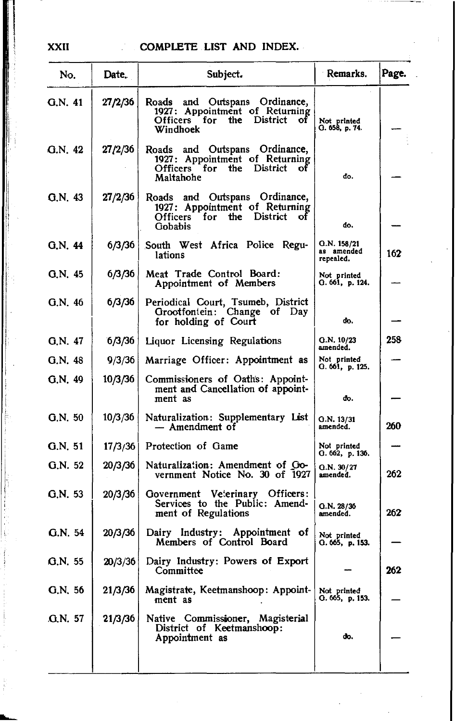| No.            | Date.   | Subject.                                                                                                         | Remarks.                               | Page. |
|----------------|---------|------------------------------------------------------------------------------------------------------------------|----------------------------------------|-------|
| G.N. 41        | 27/2/36 | and Outspans Ordinance,<br>Roads<br>1927: Appointment of Returning<br>Officers for the District of<br>Windhoek   | Not printed<br>Q. 658, p. 74.          |       |
| G.N. 42        | 27/2/36 | Roads and Outspans Ordinance,<br>1927: Appointment of Returning<br>Officers for the District<br>оf<br>Maltahohe  | do.                                    |       |
| Q.N.43         | 27/2/36 | Roads and Outspans Ordinance,<br>1927: Appointment of Returning<br>Officers for<br>the District<br>οf<br>Gobabis | do.                                    |       |
| G.N. 44        | 6/3/36  | South West Africa Police Regu-<br>lations                                                                        | Q.N. 158/21<br>as amended<br>repealed. | 162   |
| $Q_N$ , 45     | 6/3/36  | Meat Trade Control Board:<br>Appointment of Members                                                              | Not printed<br>Q.661, p.124.           |       |
| G.N. 46        | 6/3/36  | Periodical Court, Tsumeb, District<br>Grootfontein: Change of Day<br>for holding of Court                        | do.                                    |       |
| G.N. 47        | 6/3/36  | Liquor Licensing Regulations                                                                                     | G.N. 10/23<br>amended.                 | 258   |
| G.N. 48        | 9/3/36  | Marriage Officer: Appointment as                                                                                 | Not printed<br>G. 661, p. 125.         |       |
| G.N.49         | 10/3/36 | Commissioners of Oaths: Appoint-<br>ment and Cancellation of appoint-<br>ment as                                 | do.                                    |       |
| G.N. 50        | 10/3/36 | Naturalization: Supplementary List<br>— Amendment of                                                             | Q.N. 13/31<br>amended.                 | 260   |
| G.N. 51        | 17/3/36 | Protection of Game                                                                                               | Not printed<br>Q. 662, p. 136.         |       |
| G.N. 52        | 20/3/36 | Naturalization: Amendment of Go-<br>vernment Notice No. 30 of 1927                                               | Q.N. 30/27<br>amended.                 | 262   |
| G.N. 53        | 20/3/36 | Government Veterinary Officers:<br>Services to the Public: Amend-<br>ment of Regulations                         | Q.N. 28/36<br>amended.                 | 262   |
| G.N. 54        | 20/3/36 | Dairy Industry: Appointment of<br>Members of Control Board                                                       | Not printed<br>Q.665, p.153.           |       |
| G.N. 55        | 20/3/36 | Dairy Industry: Powers of Export<br>Committee                                                                    |                                        | 262   |
| G.N. 56        | 21/3/36 | Magistrate, Keetmanshoop: Appoint-<br>ment as                                                                    | Not printed<br>O.665, p.153.           |       |
| <b>G.N. 57</b> | 21/3/36 | Native Commissioner, Magisterial<br>District of Keetmanshoop:<br>Appointment as                                  | do.                                    |       |

XXII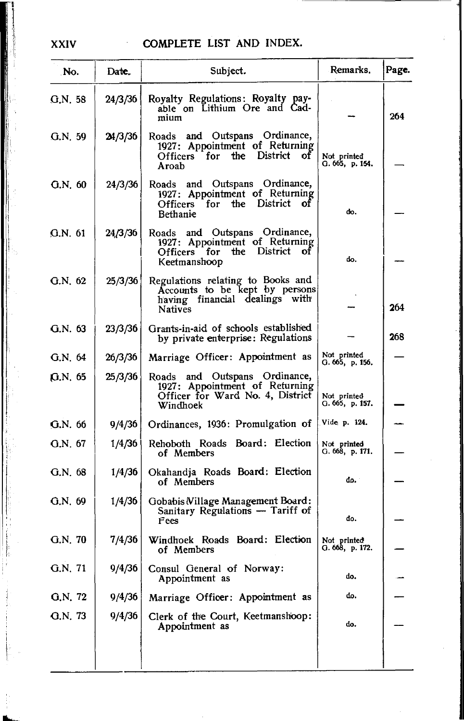| No.      | Date.   | Subject.                                                                                                                | Remarks.                       | Page. |
|----------|---------|-------------------------------------------------------------------------------------------------------------------------|--------------------------------|-------|
| G.N. 58  | 24/3/36 | Royalty Regulations: Royalty pay-<br>able on Lithium Ore and Cad-<br>mium                                               |                                | 264   |
| Q.N. 59  | 24/3/36 | Roads and Outspans Ordinance,<br>1927: Appointment of Returning<br>Officers for the District of<br>Aroab                | Not printed<br>G. 665, p. 154. |       |
| G.N. 60  | 24/3/36 | Roads and Outspans Ordinance,<br>1927: Appointment of Returning<br>Officers for the District of<br>Bethanie             | do.                            |       |
| G.N. 61  | 24/3/36 | Roads and Outspans Ordinance,<br>1927: Appointment of Returning<br>Officers for the District<br>оf<br>Keetmanshoop      | do.                            |       |
| G.N.62   | 25/3/36 | Regulations relating to Books and<br>Accounts to be kept by persons<br>having financial dealings with<br><b>Natives</b> |                                | 264   |
| G.N. 63  | 23/3/36 | Grants-in-aid of schools established<br>by private enterprise: Regulations                                              |                                | 268   |
| G.N. 64  | 26/3/36 | Marriage Officer: Appointment as                                                                                        | Not printed<br>G. 665, p. 156. |       |
| 10.N. 65 | 25/3/36 | Roads and Outspans Ordinance,<br>1927: Appointment of Returning<br>Officer for Ward No. 4, District<br>Windhoek         | Not printed<br>G. 665, p. 157. |       |
| G.N. 66  | 9/4/36  | Ordinances, 1936: Promulgation of                                                                                       | Vide p. 124.                   |       |
| G.N. 67  | 1/4/36  | Rehoboth Roads Board: Election<br>of Members                                                                            | Not printed<br>G. 668, p. 171. |       |
| G.N. 68  | 1/4/36  | Okahandja Roads Board: Election<br>of Members                                                                           | đρ.                            |       |
| Q.N.69   | 1/4/36  | Gobabis Willage Management Board:<br>Sanitary Regulations - Tariff of<br>Fees                                           | đo.                            |       |
| G.N.70   | 7/4/36  | Windhoek Roads Board: Election<br>of Members                                                                            | Not printed<br>Q.668, p.172.   |       |
| G.N. 71  | 9/4/36  | Consul General of Norway:<br>Appointment as                                                                             | do,                            |       |
| G.N. 72  | 9/4/36  | Marriage Officer: Appointment as                                                                                        | do.                            |       |
| G.N. 73  | 9/4/36  | Clerk of the Court, Keetmanshoop:<br>Appointment as                                                                     | do.                            |       |
|          |         |                                                                                                                         |                                |       |

I |<br>|<br>| ,1,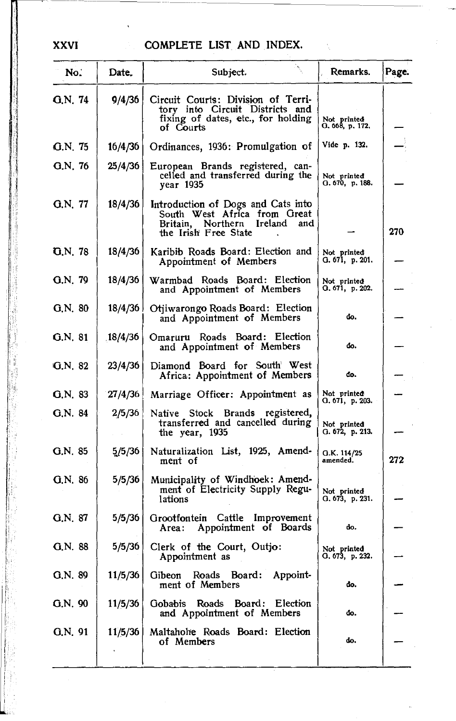| No.      | Date.   | Subject.                                                                                                                       | Remarks.                         | Page. |
|----------|---------|--------------------------------------------------------------------------------------------------------------------------------|----------------------------------|-------|
| G.N. 74  | 9/4/36  | Circuit Courts: Division of Terri-<br>tory into Circuit Districts and<br>fixing of dates, etc., for holding<br>of Courts       | Not printed<br>O. 668, p. 172.   |       |
| G.N. 75  | 16/4/36 | Ordinances, 1936: Promulgation of                                                                                              | Vide p. 132.                     |       |
| G.N. 76  | 25/4/36 | European Brands registered, can-<br>celled and transferred during the<br>year 1935                                             | Not printed<br>O. 670, p. 188.   |       |
| G.N. 77  | 18/4/36 | Introduction of Dogs and Cats into<br>South West Africa from Great<br>Britain, Northern Ireland<br>and<br>the Irish Free State |                                  | 270   |
| 0. N. 78 | 18/4/36 | Karibib Roads Board: Election and<br>Appointment of Members                                                                    | Not printed<br>G. 671, p. 201.   |       |
| G.N. 79  | 18/4/36 | Warmbad Roads Board: Election<br>and Appointment of Members                                                                    | Not printed<br>O. 671, p. 202.   |       |
| G.N. 80  | 18/4/36 | Otjiwarongo Roads Board: Election<br>and Appointment of Members                                                                | đo.                              |       |
| G.N. 81  | 18/4/36 | Omaruru Roads Board: Election<br>and Appointment of Members                                                                    | đo.                              |       |
| G.N. 82  | 23/4/36 | Diamond Board for South West<br>Africa: Appointment of Members                                                                 | đo.                              |       |
| G.N. 83  | 27/4/36 | Marriage Officer: Appointment as                                                                                               | Not printed<br>G. 671,   p. 203. |       |
| G.N. 84  | 2/5/36  | Native Stock Brands registered,<br>transferred and cancelled during<br>the year, 1935                                          | Not printed<br>G. 672, p. 213.   |       |
| G.N. 85  | 5/5/36  | Naturalization List, 1925, Amend-<br>ment of                                                                                   | G.K. 114/25<br>amended.          | 272   |
| G.N.86   | 5/5/36  | Municipality of Windhoek: Amend-<br>ment of Electricity Supply Regu-<br>lations                                                | Not printed<br>G. 673, p. 231.   |       |
| G.N. 87  | 5/5/36  | Grootfontein Cattle Improvement<br>Appointment of Boards<br>Area :                                                             | do.                              |       |
| G.N. 88  | 5/5/36  | Clerk of the Court, Outjo:<br>Appointment as                                                                                   | Not printed<br>G. 673, p. 232.   |       |
| G.N. 89  | 11/5/36 | Gibeon Roads Board: Appoint-<br>ment of Members                                                                                | đo.                              |       |
| G.N. 90  | 11/5/36 | Gobabis Roads Board: Election<br>and Appointment of Members                                                                    | do.                              |       |
| G.N. 91  | 11/5/36 | Maltahohe Roads Board: Election<br>of Members                                                                                  | do.                              |       |
|          |         |                                                                                                                                |                                  |       |

! '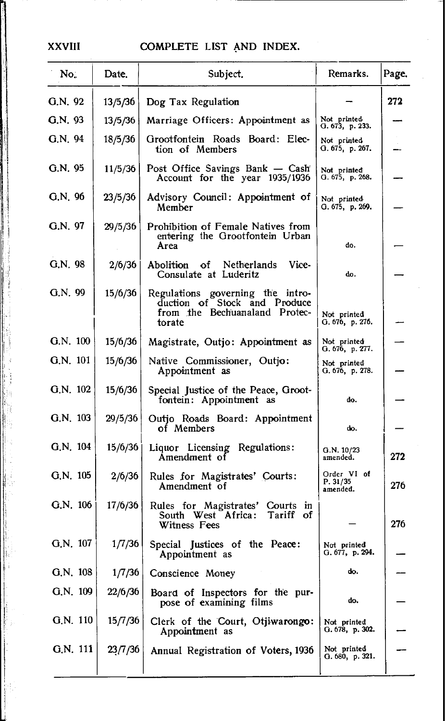#### **XXVIII**

# COMPLETE LIST AND INDEX.

| No.        | Date.   | Subject.                                                                                                    | Remarks.                             | Page. |
|------------|---------|-------------------------------------------------------------------------------------------------------------|--------------------------------------|-------|
| G.N. 92    | 13/5/36 | Dog Tax Regulation                                                                                          |                                      | 272   |
| G.N. 93    | 13/5/36 | Marriage Officers: Appointment as                                                                           | Not printed<br>G. 673, p. 233.       |       |
| G.N.94     | 18/5/36 | Grootfontein Roads Board: Elec-<br>tion of Members                                                          | Not printed<br>G.675, p.267.         |       |
| G.N. 95    | 11/5/36 | Post Office Savings Bank - Cash<br>Account for the year 1935/1936                                           | Not printed<br>G. 675, p. 268.       |       |
| G.N. 96    | 23/5/36 | Advisory Council: Appointment of<br>Member                                                                  | Not printed<br>G. 675, p. 269.       |       |
| G.N. 97    | 29/5/36 | Prohibition of Female Natives from<br>entering the Grootfontein Urban<br>Area                               | do.                                  |       |
| G.N. 98    | 2/6/36  | Vice-<br>Abolition of Netherlands<br>Consulate at Luderitz                                                  | do.                                  |       |
| G.N. 99    | 15/6/36 | Regulations governing the intro-<br>duction of Stock and Produce<br>from the Bechuanaland Protec-<br>torate | Not printed<br>G. 676, p. 276.       |       |
| G.N. 100   | 15/6/36 | Magistrate, Outjo: Appointment as                                                                           | Not printed<br>G. 676, p. 277.       |       |
| G.N. 101   | 15/6/36 | Native Commissioner, Outjo:<br>Appointment as                                                               | Not printed<br>G. 676, p. 278.       |       |
| G.N. 102   | 15/6/36 | Special Justice of the Peace, Groot-<br>fontein: Appointment as                                             | do.                                  |       |
| G.N. 103   | 29/5/36 | Outjo Roads Board: Appointment<br>of Members                                                                | do.                                  |       |
| G.N. 104   | 15/6/36 | Liquor Licensing Regulations:<br>Amendment of                                                               | G.N. 10/23<br>amended.               | 272   |
| $G.N.$ 105 | 2/6/36  | Rules for Magistrates' Courts:<br>Amendment of                                                              | Order VI of<br>P. 31/35<br>amended.  | 276   |
| G.N. 106   | 17/6/36 | Rules for Magistrates' Courts in<br>South West Africa:<br>Tariff of<br>Witness Fees                         |                                      | 276   |
| G.N. 107   | 1/7/36  | Special Justices of the Peace:<br>Appointment as                                                            | Not printed<br>G. $677$ , p. $294$ . |       |
| $G.N.$ 108 | 1/7/36  | Conscience Money                                                                                            | do.                                  |       |
| G.N. 109   | 22/6/36 | Board of Inspectors for the pur-<br>pose of examining films                                                 | do.                                  |       |
| $G.N.$ 110 | 15/7/36 | Clerk of the Court, Otjiwarongo:<br>Appointment as                                                          | Not printed<br>G. 678, p. 302.       |       |
| G.N. 111   | 23/7/36 | Annual Registration of Voters, 1936                                                                         | Not printed<br>G. 680, p. 321.       |       |
|            |         |                                                                                                             |                                      |       |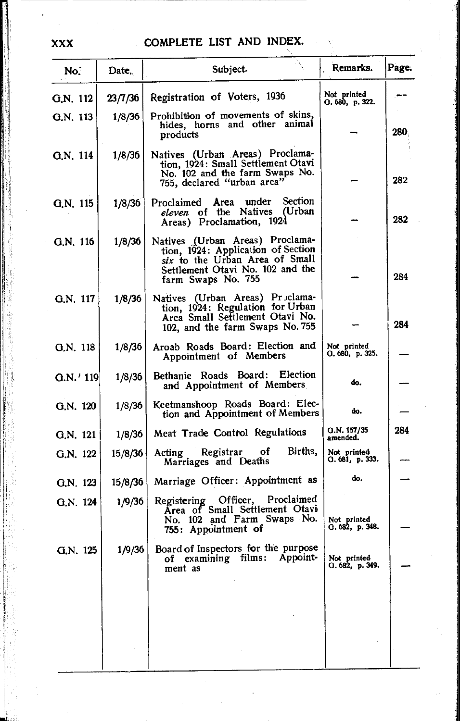| No.         | Date.   | Subject.                                                                                                                                                          | Remarks.                       | Page. |
|-------------|---------|-------------------------------------------------------------------------------------------------------------------------------------------------------------------|--------------------------------|-------|
| G.N. 112    | 23/7/36 | Registration of Voters, 1936                                                                                                                                      | Not printed<br>Q.680, p.322.   |       |
| G.N. 113    | 1/8/36  | Prohibition of movements of skins,<br>hides, horns and other animal<br>products                                                                                   |                                | 280,  |
| G.N. 114    | 1/8/36  | Natives (Urban Areas) Proclama-<br>tion, 1924: Small Settlement Otavi<br>No. 102 and the farm Swaps No.<br>755, declared "urban area"                             |                                | 282   |
| G.N. 115    | 1/8/36  | Section<br>under<br>Proclaimed<br>Area<br>eleven of the Natives (Urban<br>Areas) Proclamation, 1924                                                               |                                | 282   |
| G.N. 116    | 1/8/36  | Natives (Urban Areas) Proclama-<br>tion, 1924: Application of Section<br>six to the Urban Area of Small<br>Settlement Otavi No. 102 and the<br>farm Swaps No. 755 |                                | 284   |
| G.N. 117    | 1/8/36  | Natives (Urban Areas) Proclama-<br>tion, 1924: Regulation for Urban<br>Area Small Settlement Otavi No.<br>102, and the farm Swaps No. 755                         |                                | 284   |
| Q.N. 118    | 1/8/36  | Aroab Roads Board: Election and<br>Appointment of Members                                                                                                         | Not printed<br>O. 680, p. 325. |       |
| $G.N.'$ 119 | 1/8/36  | Bethanie Roads Board: Election<br>and Appointment of Members                                                                                                      | do.                            |       |
| G.N. 120    | 1/8/36  | Keetmanshoop Roads Board: Elec-<br>tion and Appointment of Members                                                                                                | do.                            |       |
| G.N. 121    | 1/8/36  | Meat Trade Control Regulations                                                                                                                                    | Q.N. 157/35<br>amended.        | 284   |
| Q.N. 122    | 15/8/36 | Births,<br>Registrar of<br>Acting<br>Marriages and Deaths                                                                                                         | Not printed<br>0.681, p.333.   |       |
| G.N. 123    | 15/8/36 | Marriage Officer: Appointment as                                                                                                                                  | do.                            |       |
| G.N. 124    | 1/9/36  | Registering Officer, Proclaimed<br>Area of Small Settlement Otavi<br>No. 102 and Farm Swaps No.<br>755: Appointment of                                            | Not printed<br>O. 682, p. 348. |       |
| G.N. 125    | 1/9/36  | Board of Inspectors for the purpose<br>of examining films: Appoint-<br>ment as                                                                                    | Not printed<br>O. 682, p. 349. |       |
|             |         |                                                                                                                                                                   |                                |       |
|             |         |                                                                                                                                                                   |                                |       |
|             |         |                                                                                                                                                                   |                                |       |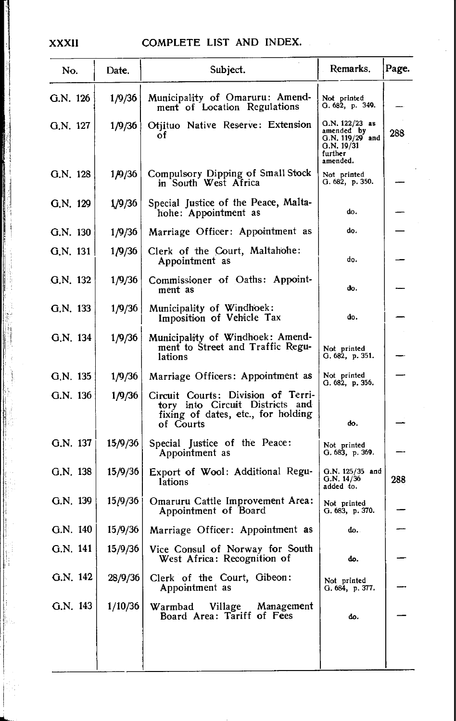| No.        | Date.   | Subject.                                                                                                                 | Remarks.                                                                              | Page. |
|------------|---------|--------------------------------------------------------------------------------------------------------------------------|---------------------------------------------------------------------------------------|-------|
| G.N. 126   | 1/9/36  | Municipality of Omaruru: Amend-<br>ment of Location Regulations                                                          | Not printed<br>G. 682, p. 349.                                                        |       |
| G.N. 127   | 1/9/36  | Otiituo Native Reserve: Extension<br>οf                                                                                  | $O.N. 122/23$ as<br>amended by $G.N. 119/29$ and<br>G.N. 19/31<br>further<br>amended. | 288   |
| G.N. 128   | 1/9/36  | Compulsory Dipping of Small Stock<br>in South West Africa                                                                | Not printed<br>G. 682, p. 350.                                                        |       |
| G.N. 129   | 1/9/36  | Special Justice of the Peace, Malta-<br>hohe: Appointment as                                                             | do.                                                                                   |       |
| G.N. 130   | 1/9/36  | Marriage Officer: Appointment as                                                                                         | do.                                                                                   |       |
| G.N. 131   | 1/9/36  | Clerk of the Court, Maltahohe:<br>Appointment as                                                                         | do.                                                                                   |       |
| G.N. 132   | 1/9/36  | Commissioner of Oaths: Appoint-<br>ment as                                                                               | do.                                                                                   |       |
| G.N. 133   | 1/9/36  | Municipality of Windhoek:<br>Imposition of Vehicle Tax                                                                   | do.                                                                                   |       |
| G.N. 134   | 1/9/36  | Municipality of Windhoek: Amend-<br>ment to Street and Traffic Regu-<br>lations                                          | Not printed<br>G. 682, p. 351.                                                        |       |
| G.N. 135   | 1/9/36  | Marriage Officers: Appointment as                                                                                        | Not printed<br>G.682, p.356.                                                          |       |
| G.N. 136   | 1/9/36  | Circuit Courts: Division of Terri-<br>tory into Circuit Districts and<br>fixing of dates, etc., for holding<br>of Courts | do.                                                                                   |       |
| G.N. 137   | 15/9/36 | Special Justice of the Peace:<br>Appointment as                                                                          | Not printed<br>G. 683, p. 369.                                                        |       |
| G.N. 138   | 15/9/36 | Export of Wool: Additional Regu-<br>lations                                                                              | $Q.N. 125/35$ and<br>G.N. 14/36<br>added to.                                          | 288   |
| G.N. 139   | 15/9/36 | Omaruru Cattle Improvement Area:<br>Appointment of Board                                                                 | Not printed<br>G.683, p.370.                                                          |       |
| $G.N.$ 140 | 15/9/36 | Marriage Officer: Appointment as                                                                                         | do.                                                                                   |       |
| G.N. 141   | 15/9/36 | Vice Consul of Norway for South<br>West Africa: Recognition of                                                           | do.                                                                                   |       |
| G.N. 142   | 28/9/36 | Clerk of the Court, Gibeon:<br>Appointment as                                                                            | Not printed<br>G. 684, p. 377.                                                        |       |
| G.N. 143   | 1/10/36 | Warmbad Village Management<br>Board Area: Tariff of Fees                                                                 | do.                                                                                   |       |
|            |         |                                                                                                                          |                                                                                       |       |

#### **XXXII**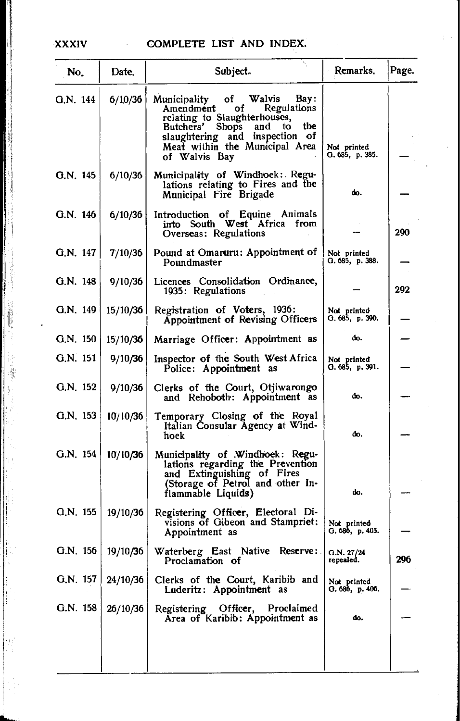## XXXIV COMPLETE LIST AND INDEX.

| No.        | Date.    | Subject.                                                                                                                                                                                                                                             | Remarks.                       | Page. |
|------------|----------|------------------------------------------------------------------------------------------------------------------------------------------------------------------------------------------------------------------------------------------------------|--------------------------------|-------|
| G.N. 144   | 6/10/36  | <b>Walvis</b><br>Bay:<br><b>Municipality</b><br>of<br>Regulations<br>Amendment<br>ΟŤ<br>relating to Slaughterhouses,<br>Butchers'<br><b>Shops</b><br>and to the<br>slaughtering and inspection of<br>Meat within the Municipal Area<br>of Walvis Bay | Not printed<br>Q.685, p.385.   |       |
| Q.N. 145   | 6/10/36  | Municipality of Windhoek: Regu-<br>lations relating to Fires and the<br>Municipal Fire Brigade                                                                                                                                                       | đο.                            |       |
| G.N. 146   | 6/10/36  | Introduction of Equine Animals<br>into South West Africa from<br>Overseas: Regulations                                                                                                                                                               |                                | 290   |
| G.N. $147$ | 7/10/36  | Pound at Omaruru: Appointment of<br>Poundmaster                                                                                                                                                                                                      | Not printed<br>G. 685, p. 388. |       |
| G.N. 148   | 9/10/36  | Licences Consolidation Ordinance,<br>1935: Regulations                                                                                                                                                                                               |                                | 292   |
| G.N. 149   | 15/10/36 | Registration of Voters, 1936:<br>Appointment of Revising Officers                                                                                                                                                                                    | Not printed<br>G. 685, p. 390. |       |
| G.N. 150   | 15/10/36 | Marriage Officer: Appointment as                                                                                                                                                                                                                     | do.                            |       |
| $G.N.$ 151 | 9/10/36  | Inspector of the South West Africa<br>Police: Appointment as                                                                                                                                                                                         | Not printed<br>Q. 685, p. 391. |       |
| G.N. 152   | 9/10/36  | Clerks of the Court, Otjiwarongo<br>and Rehoboth: Appointment as                                                                                                                                                                                     | do.                            |       |
| G.N. 153   | 10/10/36 | Temporary Closing of the Royal<br>Italian Consular Agency at Wind-<br>hoek                                                                                                                                                                           | đο.                            |       |
| O.N. 154   | 10/10/36 | Municipality of Windhoek: Regu-<br>lations regarding the Prevention<br>and Extinguishing of Fires<br>(Storage of Petrol and other In-<br>flammable Liquids)                                                                                          | do.                            |       |
| G.N. 155   | 19/10/36 | Registering Officer, Electoral Di-<br>visions of Gibeon and Stampriet:<br>Appointment as                                                                                                                                                             | Not printed<br>G. 686, p. 405. |       |
| G.N. 156   | 19/10/36 | Waterberg East Native Reserve:<br>Proclamation of                                                                                                                                                                                                    | Q.N. 27/24<br>repealed.        | 296   |
| G.N. 157   | 24/10/36 | Clerks of the Court, Karibib and<br>Luderitz: Appointment as                                                                                                                                                                                         | Not printed<br>Q.686, p.406.   |       |
| G.N. 158   | 26/10/36 | Registering Officer, Proclaimed<br>Area of Karibib: Appointment as                                                                                                                                                                                   | do,                            |       |
|            |          |                                                                                                                                                                                                                                                      |                                |       |
|            |          |                                                                                                                                                                                                                                                      |                                |       |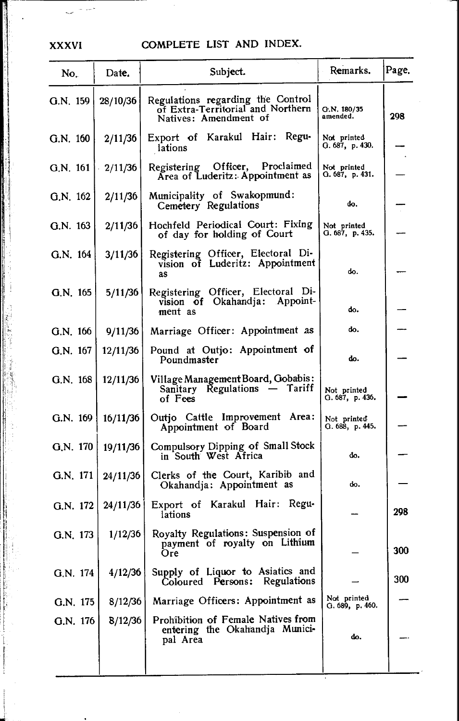# XXXVI COMPLETE LIST AND INDEX.

| No.        | Date.      | Subject.                                                                                        | Remarks.                       | Page. |
|------------|------------|-------------------------------------------------------------------------------------------------|--------------------------------|-------|
| $G.N.$ 159 | 28/10/36   | Regulations regarding the Control<br>of Extra-Territorial and Northern<br>Natives: Amendment of | G.N. 180/35<br>amended.        | 298   |
| G.N. 160   | 2/11/36    | Export of Karakul Hair: Regu-<br>lations                                                        | Not printed<br>0.687, p.430.   |       |
| G.N. 161   | $-2/11/36$ | Registering Officer, Proclaimed<br>Area of Luderitz: Appointment as                             | Not printed<br>G. 687, p. 431. |       |
| G.N. 162   | 2/11/36    | Municipality of Swakopmund:<br>Cemetery Regulations                                             | do.                            |       |
| $G.N.$ 163 | 2/11/36    | Hochfeld Periodical Court: Fixing<br>of day for holding of Court                                | Not printed<br>O. 687, p. 435. |       |
| G.N. 164   | 3/11/36    | Registering Officer, Electoral Di-<br>vision of Luderitz: Appointment<br>as                     | do.                            |       |
| G.N. 165   | 5/11/36    | Registering Officer, Electoral Di-<br>vision of Okahandja: Appoint-<br>ment as                  | do.                            |       |
| G.N. 166   | 9/11/36    | Marriage Officer: Appointment as                                                                | do.                            |       |
| G.N. 167   | 12/11/36   | Pound at Outjo: Appointment of<br>Poundmaster                                                   | do.                            |       |
| $G.N.$ 168 | 12/11/36   | Village Management Board, Gobabis:<br>Sanitary Regulations - Tariff<br>of Fees                  | Not printed<br>G. 687, p. 436. |       |
| G.N. 169   | 16/11/36   | Outjo Cattle Improvement Area:<br>Appointment of Board                                          | Not printed<br>G. 688, p. 445. |       |
| G.N. 170   | 19/11/36   | Compulsory Dipping of Small Stock<br>in South West Africa                                       | do.                            |       |
| G.N. 171   | 24/11/36   | Clerks of the Court, Karibib and<br>Okahandja: Appointment as                                   | do.                            |       |
| G.N. $172$ | 24/11/36   | Export of Karakul Hair: Regu-<br>lations                                                        |                                | 298   |
| G.N. 173   | 1/12/36    | Royalty Regulations: Suspension of<br>payment of royalty on Lithium<br>Ore                      |                                | 300   |
| G.N. 174   | 4/12/36    | Supply of Liquor to Asiatics and<br>Regulations<br>Coloured Persons:                            |                                | 300   |
| G.N. 175   | 8/12/36    | Marriage Officers: Appointment as                                                               | Not printed<br>G. 689, p. 460. |       |
| G.N. 176   | 8/12/36    | Prohibition of Female Natives from<br>entering the Okahandja Munici-<br>pal Area                | do.                            |       |
|            |            |                                                                                                 |                                |       |